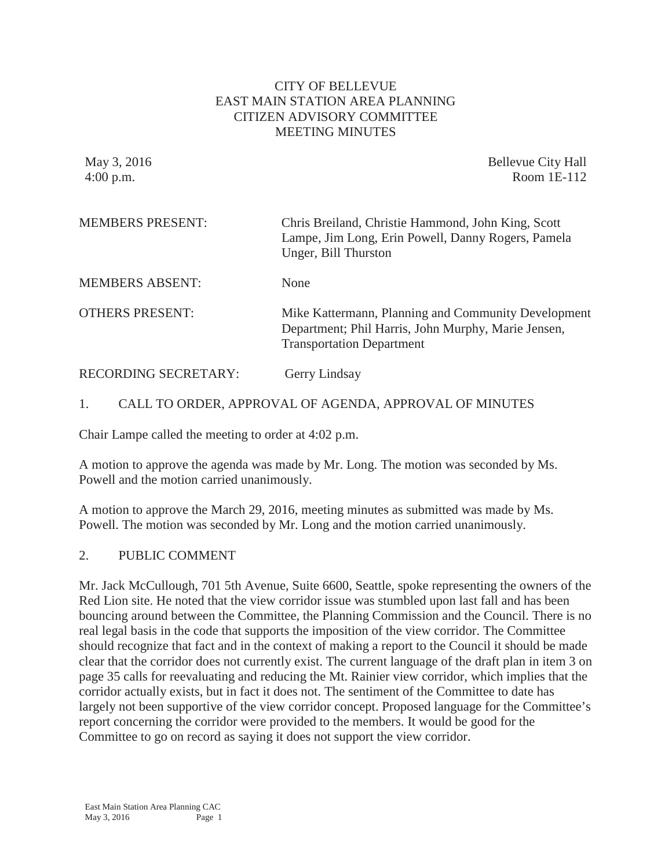### CITY OF BELLEVUE EAST MAIN STATION AREA PLANNING CITIZEN ADVISORY COMMITTEE MEETING MINUTES

May 3, 2016 **Bellevue City Hall** 4:00 p.m. Room 1E-112

| <b>MEMBERS PRESENT:</b> | Chris Breiland, Christie Hammond, John King, Scott<br>Lampe, Jim Long, Erin Powell, Danny Rogers, Pamela<br>Unger, Bill Thurston               |
|-------------------------|------------------------------------------------------------------------------------------------------------------------------------------------|
| <b>MEMBERS ABSENT:</b>  | None                                                                                                                                           |
| <b>OTHERS PRESENT:</b>  | Mike Kattermann, Planning and Community Development<br>Department; Phil Harris, John Murphy, Marie Jensen,<br><b>Transportation Department</b> |
| RECORDING SECRETARY:    | Gerry Lindsay                                                                                                                                  |

### 1. CALL TO ORDER, APPROVAL OF AGENDA, APPROVAL OF MINUTES

Chair Lampe called the meeting to order at 4:02 p.m.

A motion to approve the agenda was made by Mr. Long. The motion was seconded by Ms. Powell and the motion carried unanimously.

A motion to approve the March 29, 2016, meeting minutes as submitted was made by Ms. Powell. The motion was seconded by Mr. Long and the motion carried unanimously.

### 2. PUBLIC COMMENT

Mr. Jack McCullough, 701 5th Avenue, Suite 6600, Seattle, spoke representing the owners of the Red Lion site. He noted that the view corridor issue was stumbled upon last fall and has been bouncing around between the Committee, the Planning Commission and the Council. There is no real legal basis in the code that supports the imposition of the view corridor. The Committee should recognize that fact and in the context of making a report to the Council it should be made clear that the corridor does not currently exist. The current language of the draft plan in item 3 on page 35 calls for reevaluating and reducing the Mt. Rainier view corridor, which implies that the corridor actually exists, but in fact it does not. The sentiment of the Committee to date has largely not been supportive of the view corridor concept. Proposed language for the Committee's report concerning the corridor were provided to the members. It would be good for the Committee to go on record as saying it does not support the view corridor.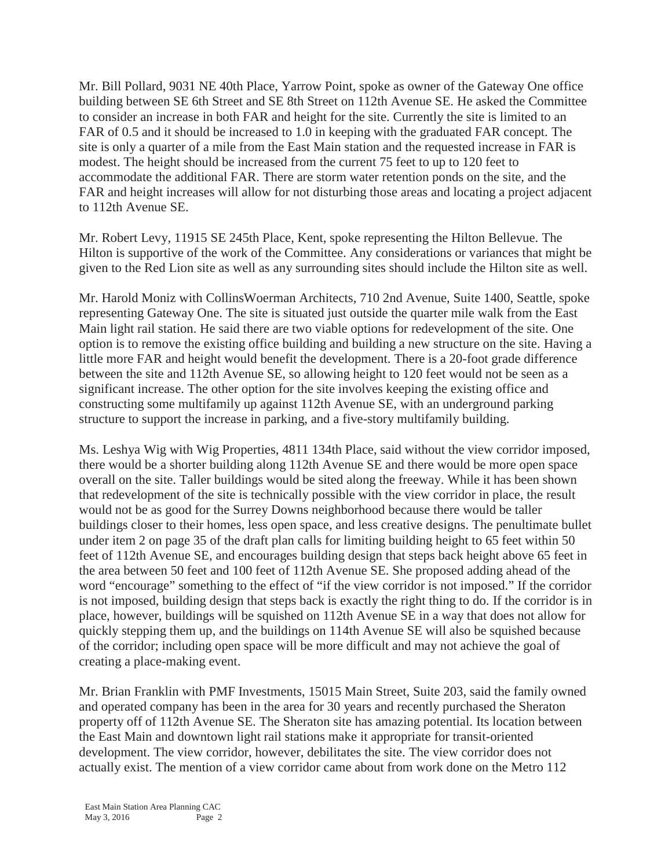Mr. Bill Pollard, 9031 NE 40th Place, Yarrow Point, spoke as owner of the Gateway One office building between SE 6th Street and SE 8th Street on 112th Avenue SE. He asked the Committee to consider an increase in both FAR and height for the site. Currently the site is limited to an FAR of 0.5 and it should be increased to 1.0 in keeping with the graduated FAR concept. The site is only a quarter of a mile from the East Main station and the requested increase in FAR is modest. The height should be increased from the current 75 feet to up to 120 feet to accommodate the additional FAR. There are storm water retention ponds on the site, and the FAR and height increases will allow for not disturbing those areas and locating a project adjacent to 112th Avenue SE.

Mr. Robert Levy, 11915 SE 245th Place, Kent, spoke representing the Hilton Bellevue. The Hilton is supportive of the work of the Committee. Any considerations or variances that might be given to the Red Lion site as well as any surrounding sites should include the Hilton site as well.

Mr. Harold Moniz with CollinsWoerman Architects, 710 2nd Avenue, Suite 1400, Seattle, spoke representing Gateway One. The site is situated just outside the quarter mile walk from the East Main light rail station. He said there are two viable options for redevelopment of the site. One option is to remove the existing office building and building a new structure on the site. Having a little more FAR and height would benefit the development. There is a 20-foot grade difference between the site and 112th Avenue SE, so allowing height to 120 feet would not be seen as a significant increase. The other option for the site involves keeping the existing office and constructing some multifamily up against 112th Avenue SE, with an underground parking structure to support the increase in parking, and a five-story multifamily building.

Ms. Leshya Wig with Wig Properties, 4811 134th Place, said without the view corridor imposed, there would be a shorter building along 112th Avenue SE and there would be more open space overall on the site. Taller buildings would be sited along the freeway. While it has been shown that redevelopment of the site is technically possible with the view corridor in place, the result would not be as good for the Surrey Downs neighborhood because there would be taller buildings closer to their homes, less open space, and less creative designs. The penultimate bullet under item 2 on page 35 of the draft plan calls for limiting building height to 65 feet within 50 feet of 112th Avenue SE, and encourages building design that steps back height above 65 feet in the area between 50 feet and 100 feet of 112th Avenue SE. She proposed adding ahead of the word "encourage" something to the effect of "if the view corridor is not imposed." If the corridor is not imposed, building design that steps back is exactly the right thing to do. If the corridor is in place, however, buildings will be squished on 112th Avenue SE in a way that does not allow for quickly stepping them up, and the buildings on 114th Avenue SE will also be squished because of the corridor; including open space will be more difficult and may not achieve the goal of creating a place-making event.

Mr. Brian Franklin with PMF Investments, 15015 Main Street, Suite 203, said the family owned and operated company has been in the area for 30 years and recently purchased the Sheraton property off of 112th Avenue SE. The Sheraton site has amazing potential. Its location between the East Main and downtown light rail stations make it appropriate for transit-oriented development. The view corridor, however, debilitates the site. The view corridor does not actually exist. The mention of a view corridor came about from work done on the Metro 112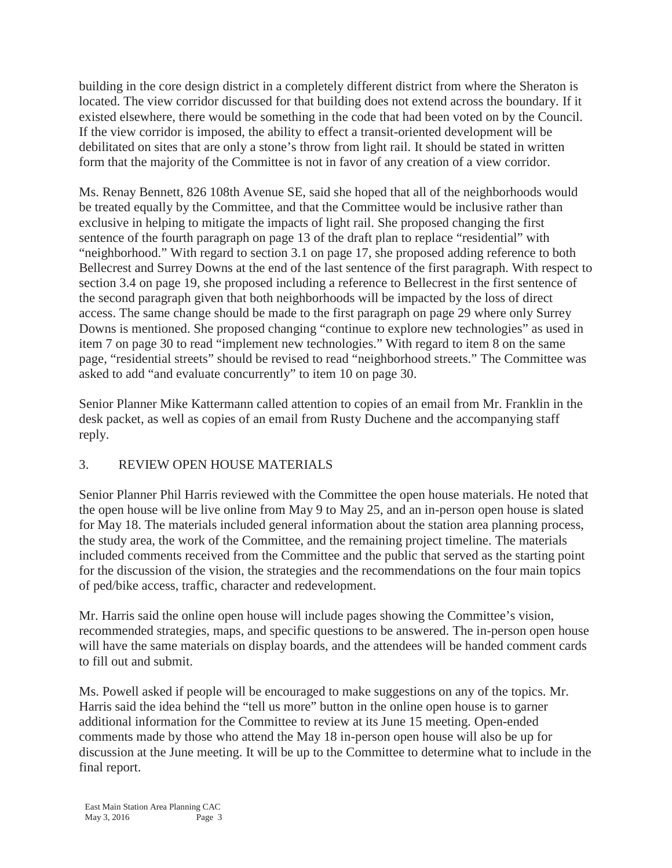building in the core design district in a completely different district from where the Sheraton is located. The view corridor discussed for that building does not extend across the boundary. If it existed elsewhere, there would be something in the code that had been voted on by the Council. If the view corridor is imposed, the ability to effect a transit-oriented development will be debilitated on sites that are only a stone's throw from light rail. It should be stated in written form that the majority of the Committee is not in favor of any creation of a view corridor.

Ms. Renay Bennett, 826 108th Avenue SE, said she hoped that all of the neighborhoods would be treated equally by the Committee, and that the Committee would be inclusive rather than exclusive in helping to mitigate the impacts of light rail. She proposed changing the first sentence of the fourth paragraph on page 13 of the draft plan to replace "residential" with "neighborhood." With regard to section 3.1 on page 17, she proposed adding reference to both Bellecrest and Surrey Downs at the end of the last sentence of the first paragraph. With respect to section 3.4 on page 19, she proposed including a reference to Bellecrest in the first sentence of the second paragraph given that both neighborhoods will be impacted by the loss of direct access. The same change should be made to the first paragraph on page 29 where only Surrey Downs is mentioned. She proposed changing "continue to explore new technologies" as used in item 7 on page 30 to read "implement new technologies." With regard to item 8 on the same page, "residential streets" should be revised to read "neighborhood streets." The Committee was asked to add "and evaluate concurrently" to item 10 on page 30.

Senior Planner Mike Kattermann called attention to copies of an email from Mr. Franklin in the desk packet, as well as copies of an email from Rusty Duchene and the accompanying staff reply.

# 3. REVIEW OPEN HOUSE MATERIALS

Senior Planner Phil Harris reviewed with the Committee the open house materials. He noted that the open house will be live online from May 9 to May 25, and an in-person open house is slated for May 18. The materials included general information about the station area planning process, the study area, the work of the Committee, and the remaining project timeline. The materials included comments received from the Committee and the public that served as the starting point for the discussion of the vision, the strategies and the recommendations on the four main topics of ped/bike access, traffic, character and redevelopment.

Mr. Harris said the online open house will include pages showing the Committee's vision, recommended strategies, maps, and specific questions to be answered. The in-person open house will have the same materials on display boards, and the attendees will be handed comment cards to fill out and submit.

Ms. Powell asked if people will be encouraged to make suggestions on any of the topics. Mr. Harris said the idea behind the "tell us more" button in the online open house is to garner additional information for the Committee to review at its June 15 meeting. Open-ended comments made by those who attend the May 18 in-person open house will also be up for discussion at the June meeting. It will be up to the Committee to determine what to include in the final report.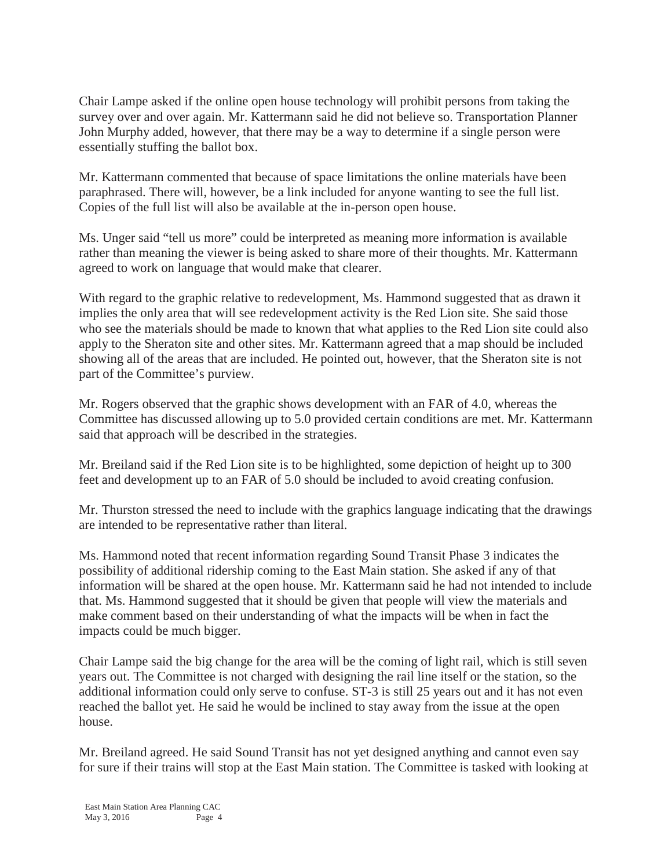Chair Lampe asked if the online open house technology will prohibit persons from taking the survey over and over again. Mr. Kattermann said he did not believe so. Transportation Planner John Murphy added, however, that there may be a way to determine if a single person were essentially stuffing the ballot box.

Mr. Kattermann commented that because of space limitations the online materials have been paraphrased. There will, however, be a link included for anyone wanting to see the full list. Copies of the full list will also be available at the in-person open house.

Ms. Unger said "tell us more" could be interpreted as meaning more information is available rather than meaning the viewer is being asked to share more of their thoughts. Mr. Kattermann agreed to work on language that would make that clearer.

With regard to the graphic relative to redevelopment, Ms. Hammond suggested that as drawn it implies the only area that will see redevelopment activity is the Red Lion site. She said those who see the materials should be made to known that what applies to the Red Lion site could also apply to the Sheraton site and other sites. Mr. Kattermann agreed that a map should be included showing all of the areas that are included. He pointed out, however, that the Sheraton site is not part of the Committee's purview.

Mr. Rogers observed that the graphic shows development with an FAR of 4.0, whereas the Committee has discussed allowing up to 5.0 provided certain conditions are met. Mr. Kattermann said that approach will be described in the strategies.

Mr. Breiland said if the Red Lion site is to be highlighted, some depiction of height up to 300 feet and development up to an FAR of 5.0 should be included to avoid creating confusion.

Mr. Thurston stressed the need to include with the graphics language indicating that the drawings are intended to be representative rather than literal.

Ms. Hammond noted that recent information regarding Sound Transit Phase 3 indicates the possibility of additional ridership coming to the East Main station. She asked if any of that information will be shared at the open house. Mr. Kattermann said he had not intended to include that. Ms. Hammond suggested that it should be given that people will view the materials and make comment based on their understanding of what the impacts will be when in fact the impacts could be much bigger.

Chair Lampe said the big change for the area will be the coming of light rail, which is still seven years out. The Committee is not charged with designing the rail line itself or the station, so the additional information could only serve to confuse. ST-3 is still 25 years out and it has not even reached the ballot yet. He said he would be inclined to stay away from the issue at the open house.

Mr. Breiland agreed. He said Sound Transit has not yet designed anything and cannot even say for sure if their trains will stop at the East Main station. The Committee is tasked with looking at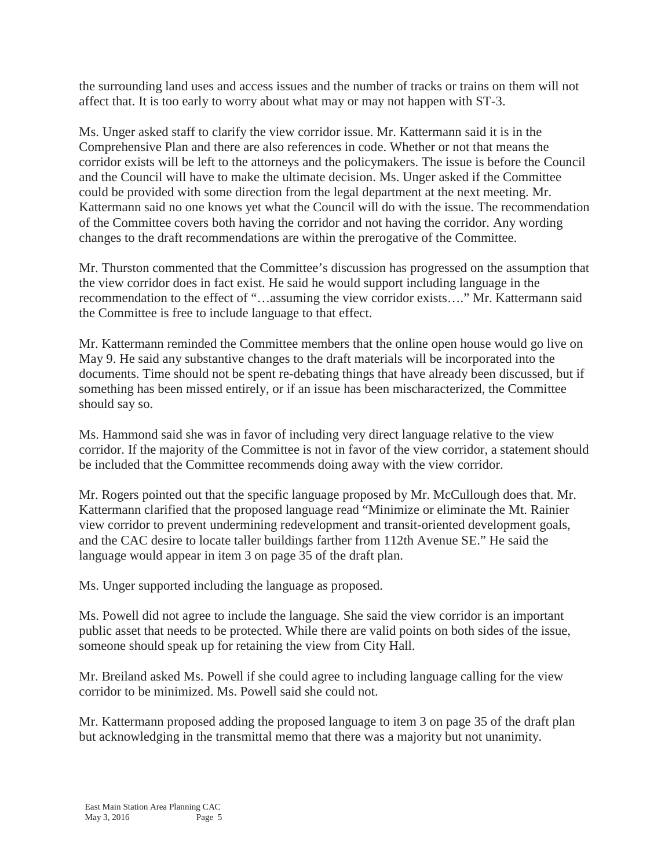the surrounding land uses and access issues and the number of tracks or trains on them will not affect that. It is too early to worry about what may or may not happen with ST-3.

Ms. Unger asked staff to clarify the view corridor issue. Mr. Kattermann said it is in the Comprehensive Plan and there are also references in code. Whether or not that means the corridor exists will be left to the attorneys and the policymakers. The issue is before the Council and the Council will have to make the ultimate decision. Ms. Unger asked if the Committee could be provided with some direction from the legal department at the next meeting. Mr. Kattermann said no one knows yet what the Council will do with the issue. The recommendation of the Committee covers both having the corridor and not having the corridor. Any wording changes to the draft recommendations are within the prerogative of the Committee.

Mr. Thurston commented that the Committee's discussion has progressed on the assumption that the view corridor does in fact exist. He said he would support including language in the recommendation to the effect of "…assuming the view corridor exists…." Mr. Kattermann said the Committee is free to include language to that effect.

Mr. Kattermann reminded the Committee members that the online open house would go live on May 9. He said any substantive changes to the draft materials will be incorporated into the documents. Time should not be spent re-debating things that have already been discussed, but if something has been missed entirely, or if an issue has been mischaracterized, the Committee should say so.

Ms. Hammond said she was in favor of including very direct language relative to the view corridor. If the majority of the Committee is not in favor of the view corridor, a statement should be included that the Committee recommends doing away with the view corridor.

Mr. Rogers pointed out that the specific language proposed by Mr. McCullough does that. Mr. Kattermann clarified that the proposed language read "Minimize or eliminate the Mt. Rainier view corridor to prevent undermining redevelopment and transit-oriented development goals, and the CAC desire to locate taller buildings farther from 112th Avenue SE." He said the language would appear in item 3 on page 35 of the draft plan.

Ms. Unger supported including the language as proposed.

Ms. Powell did not agree to include the language. She said the view corridor is an important public asset that needs to be protected. While there are valid points on both sides of the issue, someone should speak up for retaining the view from City Hall.

Mr. Breiland asked Ms. Powell if she could agree to including language calling for the view corridor to be minimized. Ms. Powell said she could not.

Mr. Kattermann proposed adding the proposed language to item 3 on page 35 of the draft plan but acknowledging in the transmittal memo that there was a majority but not unanimity.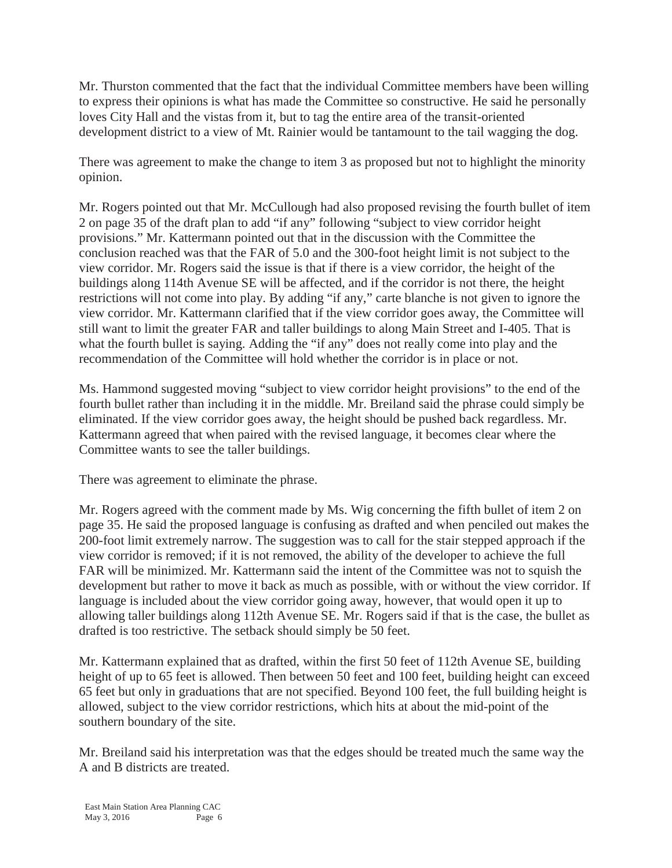Mr. Thurston commented that the fact that the individual Committee members have been willing to express their opinions is what has made the Committee so constructive. He said he personally loves City Hall and the vistas from it, but to tag the entire area of the transit-oriented development district to a view of Mt. Rainier would be tantamount to the tail wagging the dog.

There was agreement to make the change to item 3 as proposed but not to highlight the minority opinion.

Mr. Rogers pointed out that Mr. McCullough had also proposed revising the fourth bullet of item 2 on page 35 of the draft plan to add "if any" following "subject to view corridor height provisions." Mr. Kattermann pointed out that in the discussion with the Committee the conclusion reached was that the FAR of 5.0 and the 300-foot height limit is not subject to the view corridor. Mr. Rogers said the issue is that if there is a view corridor, the height of the buildings along 114th Avenue SE will be affected, and if the corridor is not there, the height restrictions will not come into play. By adding "if any," carte blanche is not given to ignore the view corridor. Mr. Kattermann clarified that if the view corridor goes away, the Committee will still want to limit the greater FAR and taller buildings to along Main Street and I-405. That is what the fourth bullet is saying. Adding the "if any" does not really come into play and the recommendation of the Committee will hold whether the corridor is in place or not.

Ms. Hammond suggested moving "subject to view corridor height provisions" to the end of the fourth bullet rather than including it in the middle. Mr. Breiland said the phrase could simply be eliminated. If the view corridor goes away, the height should be pushed back regardless. Mr. Kattermann agreed that when paired with the revised language, it becomes clear where the Committee wants to see the taller buildings.

There was agreement to eliminate the phrase.

Mr. Rogers agreed with the comment made by Ms. Wig concerning the fifth bullet of item 2 on page 35. He said the proposed language is confusing as drafted and when penciled out makes the 200-foot limit extremely narrow. The suggestion was to call for the stair stepped approach if the view corridor is removed; if it is not removed, the ability of the developer to achieve the full FAR will be minimized. Mr. Kattermann said the intent of the Committee was not to squish the development but rather to move it back as much as possible, with or without the view corridor. If language is included about the view corridor going away, however, that would open it up to allowing taller buildings along 112th Avenue SE. Mr. Rogers said if that is the case, the bullet as drafted is too restrictive. The setback should simply be 50 feet.

Mr. Kattermann explained that as drafted, within the first 50 feet of 112th Avenue SE, building height of up to 65 feet is allowed. Then between 50 feet and 100 feet, building height can exceed 65 feet but only in graduations that are not specified. Beyond 100 feet, the full building height is allowed, subject to the view corridor restrictions, which hits at about the mid-point of the southern boundary of the site.

Mr. Breiland said his interpretation was that the edges should be treated much the same way the A and B districts are treated.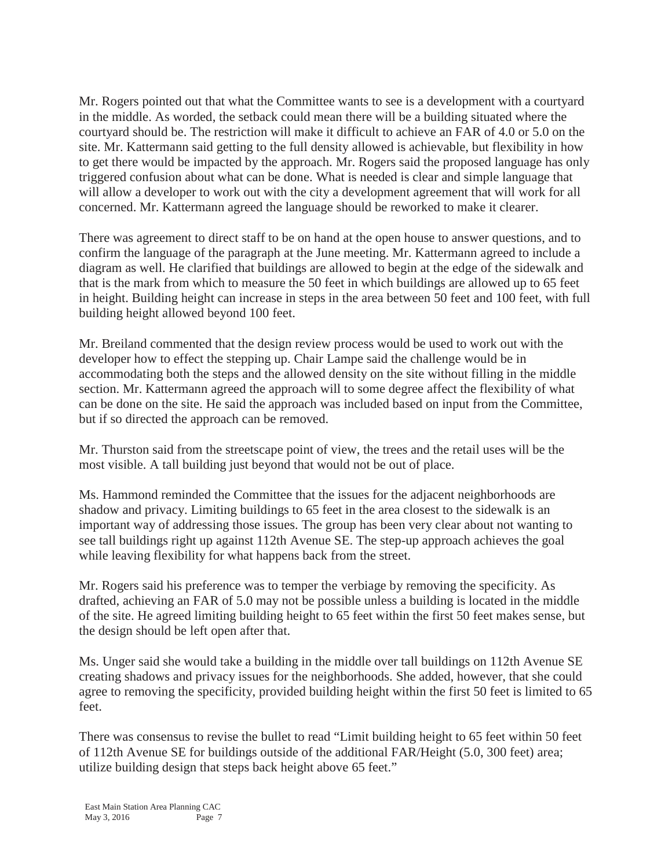Mr. Rogers pointed out that what the Committee wants to see is a development with a courtyard in the middle. As worded, the setback could mean there will be a building situated where the courtyard should be. The restriction will make it difficult to achieve an FAR of 4.0 or 5.0 on the site. Mr. Kattermann said getting to the full density allowed is achievable, but flexibility in how to get there would be impacted by the approach. Mr. Rogers said the proposed language has only triggered confusion about what can be done. What is needed is clear and simple language that will allow a developer to work out with the city a development agreement that will work for all concerned. Mr. Kattermann agreed the language should be reworked to make it clearer.

There was agreement to direct staff to be on hand at the open house to answer questions, and to confirm the language of the paragraph at the June meeting. Mr. Kattermann agreed to include a diagram as well. He clarified that buildings are allowed to begin at the edge of the sidewalk and that is the mark from which to measure the 50 feet in which buildings are allowed up to 65 feet in height. Building height can increase in steps in the area between 50 feet and 100 feet, with full building height allowed beyond 100 feet.

Mr. Breiland commented that the design review process would be used to work out with the developer how to effect the stepping up. Chair Lampe said the challenge would be in accommodating both the steps and the allowed density on the site without filling in the middle section. Mr. Kattermann agreed the approach will to some degree affect the flexibility of what can be done on the site. He said the approach was included based on input from the Committee, but if so directed the approach can be removed.

Mr. Thurston said from the streetscape point of view, the trees and the retail uses will be the most visible. A tall building just beyond that would not be out of place.

Ms. Hammond reminded the Committee that the issues for the adjacent neighborhoods are shadow and privacy. Limiting buildings to 65 feet in the area closest to the sidewalk is an important way of addressing those issues. The group has been very clear about not wanting to see tall buildings right up against 112th Avenue SE. The step-up approach achieves the goal while leaving flexibility for what happens back from the street.

Mr. Rogers said his preference was to temper the verbiage by removing the specificity. As drafted, achieving an FAR of 5.0 may not be possible unless a building is located in the middle of the site. He agreed limiting building height to 65 feet within the first 50 feet makes sense, but the design should be left open after that.

Ms. Unger said she would take a building in the middle over tall buildings on 112th Avenue SE creating shadows and privacy issues for the neighborhoods. She added, however, that she could agree to removing the specificity, provided building height within the first 50 feet is limited to 65 feet.

There was consensus to revise the bullet to read "Limit building height to 65 feet within 50 feet of 112th Avenue SE for buildings outside of the additional FAR/Height (5.0, 300 feet) area; utilize building design that steps back height above 65 feet."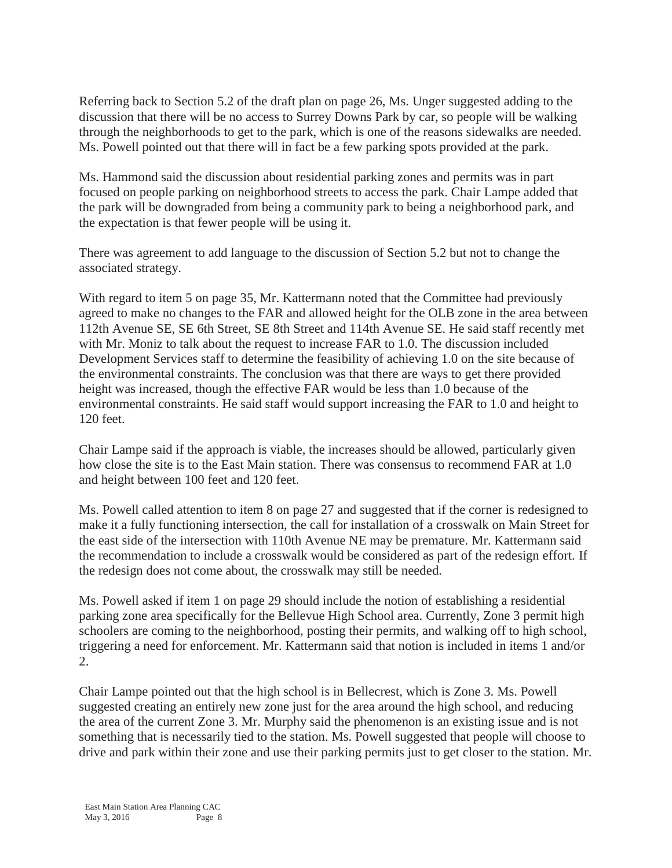Referring back to Section 5.2 of the draft plan on page 26, Ms. Unger suggested adding to the discussion that there will be no access to Surrey Downs Park by car, so people will be walking through the neighborhoods to get to the park, which is one of the reasons sidewalks are needed. Ms. Powell pointed out that there will in fact be a few parking spots provided at the park.

Ms. Hammond said the discussion about residential parking zones and permits was in part focused on people parking on neighborhood streets to access the park. Chair Lampe added that the park will be downgraded from being a community park to being a neighborhood park, and the expectation is that fewer people will be using it.

There was agreement to add language to the discussion of Section 5.2 but not to change the associated strategy.

With regard to item 5 on page 35, Mr. Kattermann noted that the Committee had previously agreed to make no changes to the FAR and allowed height for the OLB zone in the area between 112th Avenue SE, SE 6th Street, SE 8th Street and 114th Avenue SE. He said staff recently met with Mr. Moniz to talk about the request to increase FAR to 1.0. The discussion included Development Services staff to determine the feasibility of achieving 1.0 on the site because of the environmental constraints. The conclusion was that there are ways to get there provided height was increased, though the effective FAR would be less than 1.0 because of the environmental constraints. He said staff would support increasing the FAR to 1.0 and height to 120 feet.

Chair Lampe said if the approach is viable, the increases should be allowed, particularly given how close the site is to the East Main station. There was consensus to recommend FAR at 1.0 and height between 100 feet and 120 feet.

Ms. Powell called attention to item 8 on page 27 and suggested that if the corner is redesigned to make it a fully functioning intersection, the call for installation of a crosswalk on Main Street for the east side of the intersection with 110th Avenue NE may be premature. Mr. Kattermann said the recommendation to include a crosswalk would be considered as part of the redesign effort. If the redesign does not come about, the crosswalk may still be needed.

Ms. Powell asked if item 1 on page 29 should include the notion of establishing a residential parking zone area specifically for the Bellevue High School area. Currently, Zone 3 permit high schoolers are coming to the neighborhood, posting their permits, and walking off to high school, triggering a need for enforcement. Mr. Kattermann said that notion is included in items 1 and/or 2.

Chair Lampe pointed out that the high school is in Bellecrest, which is Zone 3. Ms. Powell suggested creating an entirely new zone just for the area around the high school, and reducing the area of the current Zone 3. Mr. Murphy said the phenomenon is an existing issue and is not something that is necessarily tied to the station. Ms. Powell suggested that people will choose to drive and park within their zone and use their parking permits just to get closer to the station. Mr.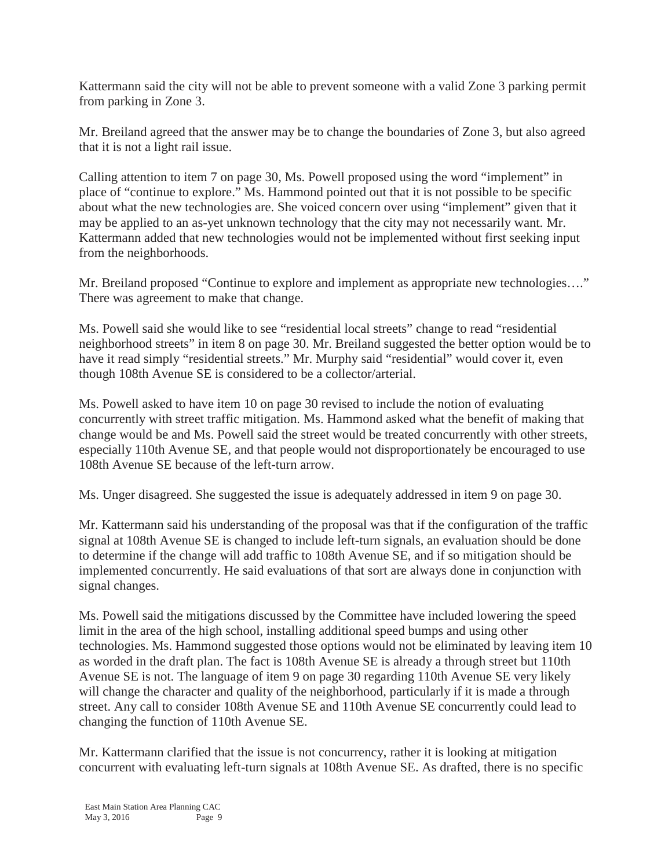Kattermann said the city will not be able to prevent someone with a valid Zone 3 parking permit from parking in Zone 3.

Mr. Breiland agreed that the answer may be to change the boundaries of Zone 3, but also agreed that it is not a light rail issue.

Calling attention to item 7 on page 30, Ms. Powell proposed using the word "implement" in place of "continue to explore." Ms. Hammond pointed out that it is not possible to be specific about what the new technologies are. She voiced concern over using "implement" given that it may be applied to an as-yet unknown technology that the city may not necessarily want. Mr. Kattermann added that new technologies would not be implemented without first seeking input from the neighborhoods.

Mr. Breiland proposed "Continue to explore and implement as appropriate new technologies...." There was agreement to make that change.

Ms. Powell said she would like to see "residential local streets" change to read "residential neighborhood streets" in item 8 on page 30. Mr. Breiland suggested the better option would be to have it read simply "residential streets." Mr. Murphy said "residential" would cover it, even though 108th Avenue SE is considered to be a collector/arterial.

Ms. Powell asked to have item 10 on page 30 revised to include the notion of evaluating concurrently with street traffic mitigation. Ms. Hammond asked what the benefit of making that change would be and Ms. Powell said the street would be treated concurrently with other streets, especially 110th Avenue SE, and that people would not disproportionately be encouraged to use 108th Avenue SE because of the left-turn arrow.

Ms. Unger disagreed. She suggested the issue is adequately addressed in item 9 on page 30.

Mr. Kattermann said his understanding of the proposal was that if the configuration of the traffic signal at 108th Avenue SE is changed to include left-turn signals, an evaluation should be done to determine if the change will add traffic to 108th Avenue SE, and if so mitigation should be implemented concurrently. He said evaluations of that sort are always done in conjunction with signal changes.

Ms. Powell said the mitigations discussed by the Committee have included lowering the speed limit in the area of the high school, installing additional speed bumps and using other technologies. Ms. Hammond suggested those options would not be eliminated by leaving item 10 as worded in the draft plan. The fact is 108th Avenue SE is already a through street but 110th Avenue SE is not. The language of item 9 on page 30 regarding 110th Avenue SE very likely will change the character and quality of the neighborhood, particularly if it is made a through street. Any call to consider 108th Avenue SE and 110th Avenue SE concurrently could lead to changing the function of 110th Avenue SE.

Mr. Kattermann clarified that the issue is not concurrency, rather it is looking at mitigation concurrent with evaluating left-turn signals at 108th Avenue SE. As drafted, there is no specific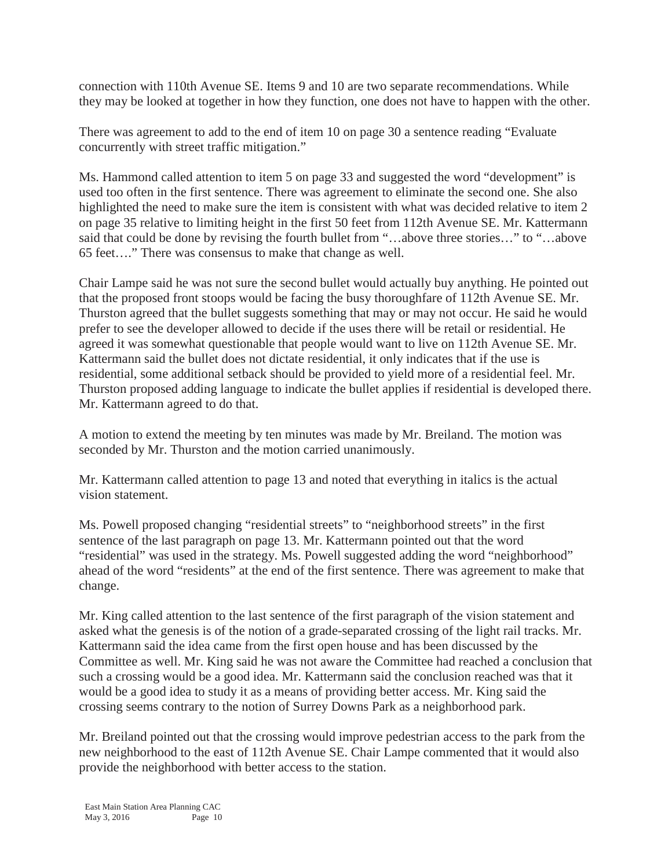connection with 110th Avenue SE. Items 9 and 10 are two separate recommendations. While they may be looked at together in how they function, one does not have to happen with the other.

There was agreement to add to the end of item 10 on page 30 a sentence reading "Evaluate concurrently with street traffic mitigation."

Ms. Hammond called attention to item 5 on page 33 and suggested the word "development" is used too often in the first sentence. There was agreement to eliminate the second one. She also highlighted the need to make sure the item is consistent with what was decided relative to item 2 on page 35 relative to limiting height in the first 50 feet from 112th Avenue SE. Mr. Kattermann said that could be done by revising the fourth bullet from "…above three stories…" to "…above 65 feet…." There was consensus to make that change as well.

Chair Lampe said he was not sure the second bullet would actually buy anything. He pointed out that the proposed front stoops would be facing the busy thoroughfare of 112th Avenue SE. Mr. Thurston agreed that the bullet suggests something that may or may not occur. He said he would prefer to see the developer allowed to decide if the uses there will be retail or residential. He agreed it was somewhat questionable that people would want to live on 112th Avenue SE. Mr. Kattermann said the bullet does not dictate residential, it only indicates that if the use is residential, some additional setback should be provided to yield more of a residential feel. Mr. Thurston proposed adding language to indicate the bullet applies if residential is developed there. Mr. Kattermann agreed to do that.

A motion to extend the meeting by ten minutes was made by Mr. Breiland. The motion was seconded by Mr. Thurston and the motion carried unanimously.

Mr. Kattermann called attention to page 13 and noted that everything in italics is the actual vision statement.

Ms. Powell proposed changing "residential streets" to "neighborhood streets" in the first sentence of the last paragraph on page 13. Mr. Kattermann pointed out that the word "residential" was used in the strategy. Ms. Powell suggested adding the word "neighborhood" ahead of the word "residents" at the end of the first sentence. There was agreement to make that change.

Mr. King called attention to the last sentence of the first paragraph of the vision statement and asked what the genesis is of the notion of a grade-separated crossing of the light rail tracks. Mr. Kattermann said the idea came from the first open house and has been discussed by the Committee as well. Mr. King said he was not aware the Committee had reached a conclusion that such a crossing would be a good idea. Mr. Kattermann said the conclusion reached was that it would be a good idea to study it as a means of providing better access. Mr. King said the crossing seems contrary to the notion of Surrey Downs Park as a neighborhood park.

Mr. Breiland pointed out that the crossing would improve pedestrian access to the park from the new neighborhood to the east of 112th Avenue SE. Chair Lampe commented that it would also provide the neighborhood with better access to the station.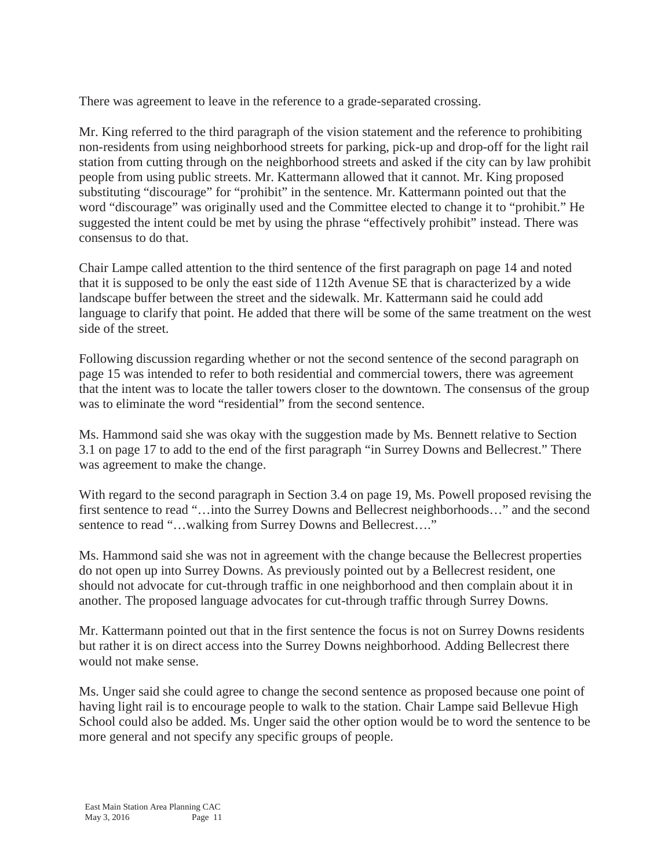There was agreement to leave in the reference to a grade-separated crossing.

Mr. King referred to the third paragraph of the vision statement and the reference to prohibiting non-residents from using neighborhood streets for parking, pick-up and drop-off for the light rail station from cutting through on the neighborhood streets and asked if the city can by law prohibit people from using public streets. Mr. Kattermann allowed that it cannot. Mr. King proposed substituting "discourage" for "prohibit" in the sentence. Mr. Kattermann pointed out that the word "discourage" was originally used and the Committee elected to change it to "prohibit." He suggested the intent could be met by using the phrase "effectively prohibit" instead. There was consensus to do that.

Chair Lampe called attention to the third sentence of the first paragraph on page 14 and noted that it is supposed to be only the east side of 112th Avenue SE that is characterized by a wide landscape buffer between the street and the sidewalk. Mr. Kattermann said he could add language to clarify that point. He added that there will be some of the same treatment on the west side of the street.

Following discussion regarding whether or not the second sentence of the second paragraph on page 15 was intended to refer to both residential and commercial towers, there was agreement that the intent was to locate the taller towers closer to the downtown. The consensus of the group was to eliminate the word "residential" from the second sentence.

Ms. Hammond said she was okay with the suggestion made by Ms. Bennett relative to Section 3.1 on page 17 to add to the end of the first paragraph "in Surrey Downs and Bellecrest." There was agreement to make the change.

With regard to the second paragraph in Section 3.4 on page 19, Ms. Powell proposed revising the first sentence to read "...into the Surrey Downs and Bellecrest neighborhoods..." and the second sentence to read "...walking from Surrey Downs and Bellecrest...."

Ms. Hammond said she was not in agreement with the change because the Bellecrest properties do not open up into Surrey Downs. As previously pointed out by a Bellecrest resident, one should not advocate for cut-through traffic in one neighborhood and then complain about it in another. The proposed language advocates for cut-through traffic through Surrey Downs.

Mr. Kattermann pointed out that in the first sentence the focus is not on Surrey Downs residents but rather it is on direct access into the Surrey Downs neighborhood. Adding Bellecrest there would not make sense.

Ms. Unger said she could agree to change the second sentence as proposed because one point of having light rail is to encourage people to walk to the station. Chair Lampe said Bellevue High School could also be added. Ms. Unger said the other option would be to word the sentence to be more general and not specify any specific groups of people.